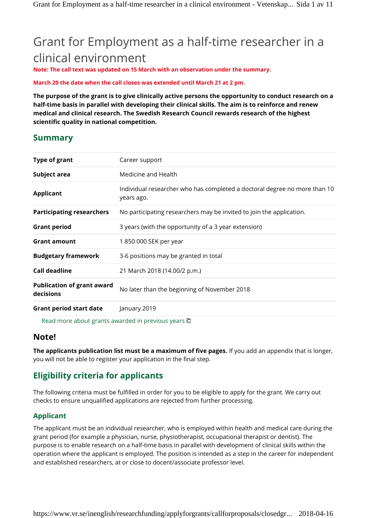# Grant for Employment as a half-time researcher in a clinical environment

**Note: The call text was updated on 15 March with an observation under the summary.**

**March 20 the date when the call closes was extended until March 21 at 2 pm.**

**The purpose of the grant is to give clinically active persons the opportunity to conduct research on a half-time basis in parallel with developing their clinical skills. The aim is to reinforce and renew medical and clinical research. The Swedish Research Council rewards research of the highest scientific quality in national competition.**

## **Summary**

| Type of grant                                  | Career support                                                                          |
|------------------------------------------------|-----------------------------------------------------------------------------------------|
| Subject area                                   | Medicine and Health                                                                     |
| <b>Applicant</b>                               | Individual researcher who has completed a doctoral degree no more than 10<br>years ago. |
| <b>Participating researchers</b>               | No participating researchers may be invited to join the application.                    |
| <b>Grant period</b>                            | 3 years (with the opportunity of a 3 year extension)                                    |
| <b>Grant amount</b>                            | 1 850 000 SEK per year                                                                  |
| <b>Budgetary framework</b>                     | 3-6 positions may be granted in total                                                   |
| Call deadline                                  | 21 March 2018 (14.00/2 p.m.)                                                            |
| <b>Publication of grant award</b><br>decisions | No later than the beginning of November 2018                                            |
| <b>Grant period start date</b>                 | January 2019                                                                            |

Read more about grants awarded in previous years

# **Note!**

**The applicants publication list must be a maximum of five pages.** If you add an appendix that is longer, you will not be able to register your application in the final step.

# **Eligibility criteria for applicants**

The following criteria must be fulfilled in order for you to be eligible to apply for the grant. We carry out checks to ensure unqualified applications are rejected from further processing.

## **Applicant**

The applicant must be an individual researcher, who is employed within health and medical care during the grant period (for example a physician, nurse, physiotherapist, occupational therapist or dentist). The purpose is to enable research on a half-time basis in parallel with development of clinical skills within the operation where the applicant is employed. The position is intended as a step in the career for independent and established researchers, at or close to docent/associate professor level.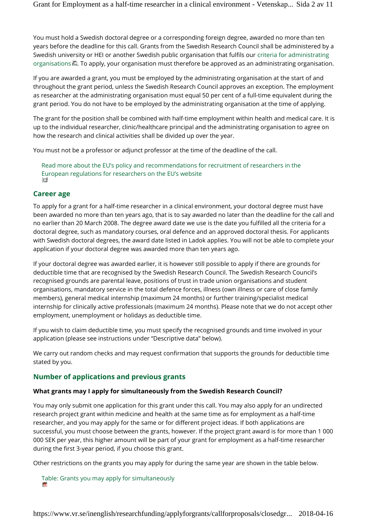You must hold a Swedish doctoral degree or a corresponding foreign degree, awarded no more than ten years before the deadline for this call. Grants from the Swedish Research Council shall be administered by a Swedish university or HEI or another Swedish public organisation that fulfils our criteria for administrating organisations  $\Box$ . To apply, your organisation must therefore be approved as an administrating organisation.

If you are awarded a grant, you must be employed by the administrating organisation at the start of and throughout the grant period, unless the Swedish Research Council approves an exception. The employment as researcher at the administrating organisation must equal 50 per cent of a full-time equivalent during the grant period. You do not have to be employed by the administrating organisation at the time of applying.

The grant for the position shall be combined with half-time employment within health and medical care. It is up to the individual researcher, clinic/healthcare principal and the administrating organisation to agree on how the research and clinical activities shall be divided up over the year.

You must not be a professor or adjunct professor at the time of the deadline of the call.

Read more about the EU's policy and recommendations for recruitment of researchers in the European regulations for researchers on the EU's website CT

## **Career age**

To apply for a grant for a half-time researcher in a clinical environment, your doctoral degree must have been awarded no more than ten years ago, that is to say awarded no later than the deadline for the call and no earlier than 20 March 2008. The degree award date we use is the date you fulfilled all the criteria for a doctoral degree, such as mandatory courses, oral defence and an approved doctoral thesis. For applicants with Swedish doctoral degrees, the award date listed in Ladok applies. You will not be able to complete your application if your doctoral degree was awarded more than ten years ago.

If your doctoral degree was awarded earlier, it is however still possible to apply if there are grounds for deductible time that are recognised by the Swedish Research Council. The Swedish Research Council's recognised grounds are parental leave, positions of trust in trade union organisations and student organisations, mandatory service in the total defence forces, illness (own illness or care of close family members), general medical internship (maximum 24 months) or further training/specialist medical internship for clinically active professionals (maximum 24 months). Please note that we do not accept other employment, unemployment or holidays as deductible time.

If you wish to claim deductible time, you must specify the recognised grounds and time involved in your application (please see instructions under "Descriptive data" below).

We carry out random checks and may request confirmation that supports the grounds for deductible time stated by you.

## **Number of applications and previous grants**

#### **What grants may I apply for simultaneously from the Swedish Research Council?**

You may only submit one application for this grant under this call. You may also apply for an undirected research project grant within medicine and health at the same time as for employment as a half-time researcher, and you may apply for the same or for different project ideas. If both applications are successful, you must choose between the grants, however. If the project grant award is for more than 1 000 000 SEK per year, this higher amount will be part of your grant for employment as a half-time researcher during the first 3-year period, if you choose this grant.

Other restrictions on the grants you may apply for during the same year are shown in the table below.

Table: Grants you may apply for simultaneously **IN**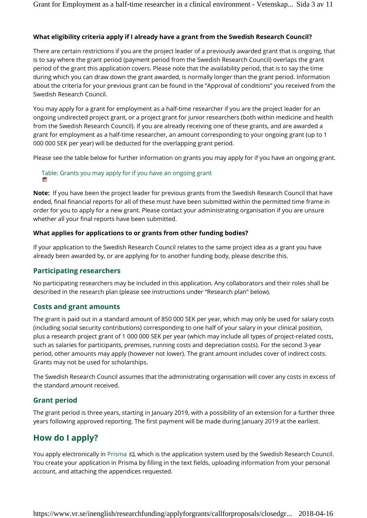## **What eligibility criteria apply if I already have a grant from the Swedish Research Council?**

There are certain restrictions if you are the project leader of a previously awarded grant that is ongoing, that is to say where the grant period (payment period from the Swedish Research Council) overlaps the grant period of the grant this application covers. Please note that the availability period, that is to say the time during which you can draw down the grant awarded, is normally longer than the grant period. Information about the criteria for your previous grant can be found in the "Approval of conditions" you received from the Swedish Research Council.

You may apply for a grant for employment as a half-time researcher if you are the project leader for an ongoing undirected project grant, or a project grant for junior researchers (both within medicine and health from the Swedish Research Council). If you are already receiving one of these grants, and are awarded a grant for employment as a half-time researcher, an amount corresponding to your ongoing grant (up to 1 000 000 SEK per year) will be deducted for the overlapping grant period.

Please see the table below for further information on grants you may apply for if you have an ongoing grant.

# Table: Grants you may apply for if you have an ongoing grant

**Note:** If you have been the project leader for previous grants from the Swedish Research Council that have ended, final financial reports for all of these must have been submitted within the permitted time frame in order for you to apply for a new grant. Please contact your administrating organisation if you are unsure whether all your final reports have been submitted.

#### **What applies for applications to or grants from other funding bodies?**

If your application to the Swedish Research Council relates to the same project idea as a grant you have already been awarded by, or are applying for to another funding body, please describe this.

#### **Participating researchers**

No participating researchers may be included in this application. Any collaborators and their roles shall be described in the research plan (please see instructions under "Research plan" below).

## **Costs and grant amounts**

The grant is paid out in a standard amount of 850 000 SEK per year, which may only be used for salary costs (including social security contributions) corresponding to one half of your salary in your clinical position, plus a research project grant of 1 000 000 SEK per year (which may include all types of project-related costs, such as salaries for participants, premises, running costs and depreciation costs). For the second 3-year period, other amounts may apply (however not lower). The grant amount includes cover of indirect costs. Grants may not be used for scholarships.

The Swedish Research Council assumes that the administrating organisation will cover any costs in excess of the standard amount received.

#### **Grant period**

The grant period is three years, starting in January 2019, with a possibility of an extension for a further three years following approved reporting. The first payment will be made during January 2019 at the earliest.

# **How do I apply?**

You apply electronically in Prisma  $\Box$ , which is the application system used by the Swedish Research Council. You create your application in Prisma by filling in the text fields, uploading information from your personal account, and attaching the appendices requested.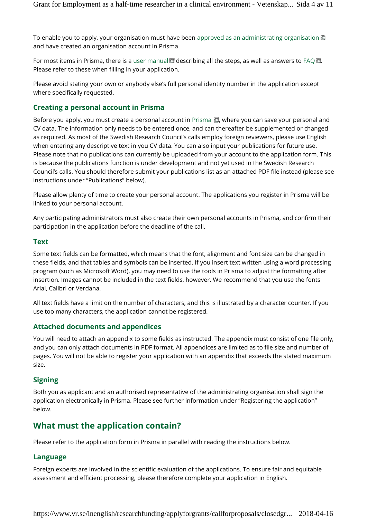To enable you to apply, your organisation must have been approved as an administrating organisation and have created an organisation account in Prisma.

For most items in Prisma, there is a user manual  $\Box$  describing all the steps, as well as answers to FAQ  $\Box$ . Please refer to these when filling in your application.

Please avoid stating your own or anybody else's full personal identity number in the application except where specifically requested.

#### **Creating a personal account in Prisma**

Before you apply, you must create a personal account in Prisma  $\Box$ , where you can save your personal and CV data. The information only needs to be entered once, and can thereafter be supplemented or changed as required. As most of the Swedish Research Council's calls employ foreign reviewers, please use English when entering any descriptive text in you CV data. You can also input your publications for future use. Please note that no publications can currently be uploaded from your account to the application form. This is because the publications function is under development and not yet used in the Swedish Research Council's calls. You should therefore submit your publications list as an attached PDF file instead (please see instructions under "Publications" below).

Please allow plenty of time to create your personal account. The applications you register in Prisma will be linked to your personal account.

Any participating administrators must also create their own personal accounts in Prisma, and confirm their participation in the application before the deadline of the call.

#### **Text**

Some text fields can be formatted, which means that the font, alignment and font size can be changed in these fields, and that tables and symbols can be inserted. If you insert text written using a word processing program (such as Microsoft Word), you may need to use the tools in Prisma to adjust the formatting after insertion. Images cannot be included in the text fields, however. We recommend that you use the fonts Arial, Calibri or Verdana.

All text fields have a limit on the number of characters, and this is illustrated by a character counter. If you use too many characters, the application cannot be registered.

#### **Attached documents and appendices**

You will need to attach an appendix to some fields as instructed. The appendix must consist of one file only, and you can only attach documents in PDF format. All appendices are limited as to file size and number of pages. You will not be able to register your application with an appendix that exceeds the stated maximum size.

#### **Signing**

Both you as applicant and an authorised representative of the administrating organisation shall sign the application electronically in Prisma. Please see further information under "Registering the application" below.

# **What must the application contain?**

Please refer to the application form in Prisma in parallel with reading the instructions below.

#### **Language**

Foreign experts are involved in the scientific evaluation of the applications. To ensure fair and equitable assessment and efficient processing, please therefore complete your application in English.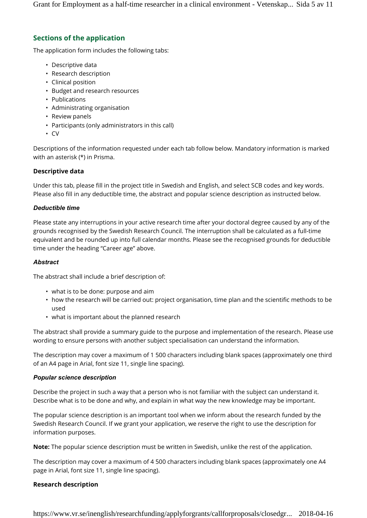Grant for Employment as a half-time researcher in a clinical environment - Vetenskap... Sida 5 av 11

## **Sections of the application**

The application form includes the following tabs:

- Descriptive data
- Research description
- Clinical position
- Budget and research resources
- Publications
- Administrating organisation
- Review panels
- Participants (only administrators in this call)
- CV

Descriptions of the information requested under each tab follow below. Mandatory information is marked with an asterisk (\*) in Prisma.

#### **Descriptive data**

Under this tab, please fill in the project title in Swedish and English, and select SCB codes and key words. Please also fill in any deductible time, the abstract and popular science description as instructed below.

#### *Deductible time*

Please state any interruptions in your active research time after your doctoral degree caused by any of the grounds recognised by the Swedish Research Council. The interruption shall be calculated as a full-time equivalent and be rounded up into full calendar months. Please see the recognised grounds for deductible time under the heading "Career age" above.

#### *Abstract*

The abstract shall include a brief description of:

- what is to be done: purpose and aim
- how the research will be carried out: project organisation, time plan and the scientific methods to be used
- what is important about the planned research

The abstract shall provide a summary guide to the purpose and implementation of the research. Please use wording to ensure persons with another subject specialisation can understand the information.

The description may cover a maximum of 1 500 characters including blank spaces (approximately one third of an A4 page in Arial, font size 11, single line spacing).

#### *Popular science description*

Describe the project in such a way that a person who is not familiar with the subject can understand it. Describe what is to be done and why, and explain in what way the new knowledge may be important.

The popular science description is an important tool when we inform about the research funded by the Swedish Research Council. If we grant your application, we reserve the right to use the description for information purposes.

**Note:** The popular science description must be written in Swedish, unlike the rest of the application.

The description may cover a maximum of 4 500 characters including blank spaces (approximately one A4 page in Arial, font size 11, single line spacing).

#### **Research description**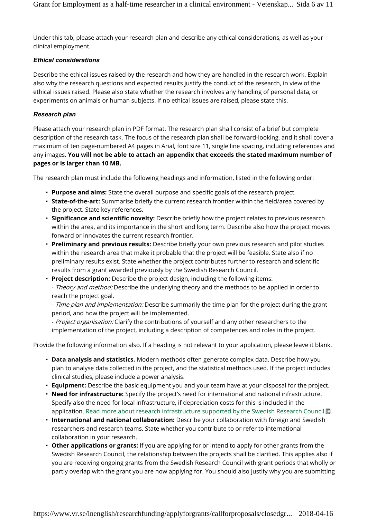Under this tab, please attach your research plan and describe any ethical considerations, as well as your clinical employment.

#### *Ethical considerations*

Describe the ethical issues raised by the research and how they are handled in the research work. Explain also why the research questions and expected results justify the conduct of the research, in view of the ethical issues raised. Please also state whether the research involves any handling of personal data, or experiments on animals or human subjects. If no ethical issues are raised, please state this.

#### *Research plan*

Please attach your research plan in PDF format. The research plan shall consist of a brief but complete description of the research task. The focus of the research plan shall be forward-looking, and it shall cover a maximum of ten page-numbered A4 pages in Arial, font size 11, single line spacing, including references and any images. **You will not be able to attach an appendix that exceeds the stated maximum number of pages or is larger than 10 MB.**

The research plan must include the following headings and information, listed in the following order:

- **Purpose and aims:** State the overall purpose and specific goals of the research project.
- **State-of-the-art:** Summarise briefly the current research frontier within the field/area covered by the project. State key references.
- **Significance and scientific novelty:** Describe briefly how the project relates to previous research within the area, and its importance in the short and long term. Describe also how the project moves forward or innovates the current research frontier.
- **Preliminary and previous results:** Describe briefly your own previous research and pilot studies within the research area that make it probable that the project will be feasible. State also if no preliminary results exist. State whether the project contributes further to research and scientific results from a grant awarded previously by the Swedish Research Council.

• **Project description:** Describe the project design, including the following items:

- *Theory and method:* Describe the underlying theory and the methods to be applied in order to reach the project goal.

- *Time plan and implementation:* Describe summarily the time plan for the project during the grant period, and how the project will be implemented.

- *Project organisation:* Clarify the contributions of yourself and any other researchers to the implementation of the project, including a description of competences and roles in the project.

Provide the following information also. If a heading is not relevant to your application, please leave it blank.

- **Data analysis and statistics.** Modern methods often generate complex data. Describe how you plan to analyse data collected in the project, and the statistical methods used. If the project includes clinical studies, please include a power analysis.
- **Equipment:** Describe the basic equipment you and your team have at your disposal for the project.
- **Need for infrastructure:** Specify the project's need for international and national infrastructure. Specify also the need for local infrastructure, if depreciation costs for this is included in the application. Read more about research infrastructure supported by the Swedish Research Council  $\overline{P}$ .
- **International and national collaboration:** Describe your collaboration with foreign and Swedish researchers and research teams. State whether you contribute to or refer to international collaboration in your research.
- **Other applications or grants:** If you are applying for or intend to apply for other grants from the Swedish Research Council, the relationship between the projects shall be clarified. This applies also if you are receiving ongoing grants from the Swedish Research Council with grant periods that wholly or partly overlap with the grant you are now applying for. You should also justify why you are submitting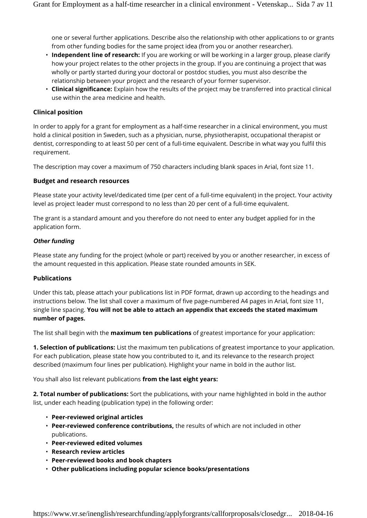one or several further applications. Describe also the relationship with other applications to or grants from other funding bodies for the same project idea (from you or another researcher).

- **Independent line of research:** If you are working or will be working in a larger group, please clarify how your project relates to the other projects in the group. If you are continuing a project that was wholly or partly started during your doctoral or postdoc studies, you must also describe the relationship between your project and the research of your former supervisor.
- **Clinical significance:** Explain how the results of the project may be transferred into practical clinical use within the area medicine and health.

#### **Clinical position**

In order to apply for a grant for employment as a half-time researcher in a clinical environment, you must hold a clinical position in Sweden, such as a physician, nurse, physiotherapist, occupational therapist or dentist, corresponding to at least 50 per cent of a full-time equivalent. Describe in what way you fulfil this requirement.

The description may cover a maximum of 750 characters including blank spaces in Arial, font size 11.

#### **Budget and research resources**

Please state your activity level/dedicated time (per cent of a full-time equivalent) in the project. Your activity level as project leader must correspond to no less than 20 per cent of a full-time equivalent.

The grant is a standard amount and you therefore do not need to enter any budget applied for in the application form.

#### *Other funding*

Please state any funding for the project (whole or part) received by you or another researcher, in excess of the amount requested in this application. Please state rounded amounts in SEK.

#### **Publications**

Under this tab, please attach your publications list in PDF format, drawn up according to the headings and instructions below. The list shall cover a maximum of five page-numbered A4 pages in Arial, font size 11, single line spacing. **You will not be able to attach an appendix that exceeds the stated maximum number of pages.**

The list shall begin with the **maximum ten publications** of greatest importance for your application:

**1. Selection of publications:** List the maximum ten publications of greatest importance to your application. For each publication, please state how you contributed to it, and its relevance to the research project described (maximum four lines per publication). Highlight your name in bold in the author list.

You shall also list relevant publications **from the last eight years:**

**2. Total number of publications:** Sort the publications, with your name highlighted in bold in the author list, under each heading (publication type) in the following order:

- **Peer-reviewed original articles**
- **Peer-reviewed conference contributions,** the results of which are not included in other publications.
- **Peer-reviewed edited volumes**
- **Research review articles**
- **Peer-reviewed books and book chapters**
- **Other publications including popular science books/presentations**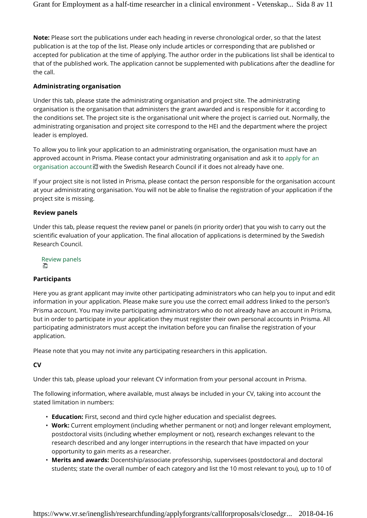**Note:** Please sort the publications under each heading in reverse chronological order, so that the latest publication is at the top of the list. Please only include articles or corresponding that are published or accepted for publication at the time of applying. The author order in the publications list shall be identical to that of the published work. The application cannot be supplemented with publications after the deadline for the call.

## **Administrating organisation**

Under this tab, please state the administrating organisation and project site. The administrating organisation is the organisation that administers the grant awarded and is responsible for it according to the conditions set. The project site is the organisational unit where the project is carried out. Normally, the administrating organisation and project site correspond to the HEI and the department where the project leader is employed.

To allow you to link your application to an administrating organisation, the organisation must have an approved account in Prisma. Please contact your administrating organisation and ask it to apply for an organisation account  $\blacksquare$  with the Swedish Research Council if it does not already have one.

If your project site is not listed in Prisma, please contact the person responsible for the organisation account at your administrating organisation. You will not be able to finalise the registration of your application if the project site is missing.

#### **Review panels**

Under this tab, please request the review panel or panels (in priority order) that you wish to carry out the scientific evaluation of your application. The final allocation of applications is determined by the Swedish Research Council.

Review panels O

#### **Participants**

Here you as grant applicant may invite other participating administrators who can help you to input and edit information in your application. Please make sure you use the correct email address linked to the person's Prisma account. You may invite participating administrators who do not already have an account in Prisma, but in order to participate in your application they must register their own personal accounts in Prisma. All participating administrators must accept the invitation before you can finalise the registration of your application.

Please note that you may not invite any participating researchers in this application.

## **CV**

Under this tab, please upload your relevant CV information from your personal account in Prisma.

The following information, where available, must always be included in your CV, taking into account the stated limitation in numbers:

- **Education:** First, second and third cycle higher education and specialist degrees.
- **Work:** Current employment (including whether permanent or not) and longer relevant employment, postdoctoral visits (including whether employment or not), research exchanges relevant to the research described and any longer interruptions in the research that have impacted on your opportunity to gain merits as a researcher.
- **Merits and awards:** Docentship/associate professorship, supervisees (postdoctoral and doctoral students; state the overall number of each category and list the 10 most relevant to you), up to 10 of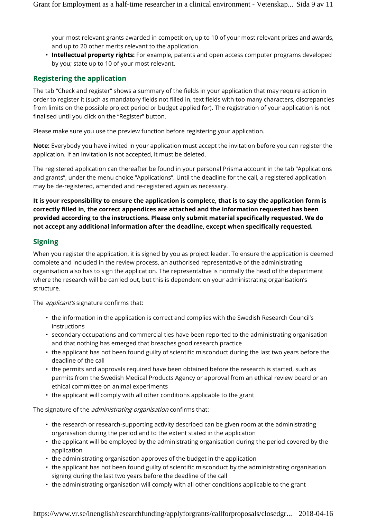your most relevant grants awarded in competition, up to 10 of your most relevant prizes and awards, and up to 20 other merits relevant to the application.

• **Intellectual property rights:** For example, patents and open access computer programs developed by you; state up to 10 of your most relevant.

## **Registering the application**

The tab "Check and register" shows a summary of the fields in your application that may require action in order to register it (such as mandatory fields not filled in, text fields with too many characters, discrepancies from limits on the possible project period or budget applied for). The registration of your application is not finalised until you click on the "Register" button.

Please make sure you use the preview function before registering your application.

**Note:** Everybody you have invited in your application must accept the invitation before you can register the application. If an invitation is not accepted, it must be deleted.

The registered application can thereafter be found in your personal Prisma account in the tab "Applications and grants", under the menu choice "Applications". Until the deadline for the call, a registered application may be de-registered, amended and re-registered again as necessary.

**It is your responsibility to ensure the application is complete, that is to say the application form is correctly filled in, the correct appendices are attached and the information requested has been provided according to the instructions. Please only submit material specifically requested. We do not accept any additional information after the deadline, except when specifically requested.**

## **Signing**

When you register the application, it is signed by you as project leader. To ensure the application is deemed complete and included in the review process, an authorised representative of the administrating organisation also has to sign the application. The representative is normally the head of the department where the research will be carried out, but this is dependent on your administrating organisation's structure.

The *applicant's* signature confirms that:

- the information in the application is correct and complies with the Swedish Research Council's instructions
- secondary occupations and commercial ties have been reported to the administrating organisation and that nothing has emerged that breaches good research practice
- the applicant has not been found guilty of scientific misconduct during the last two years before the deadline of the call
- the permits and approvals required have been obtained before the research is started, such as permits from the Swedish Medical Products Agency or approval from an ethical review board or an ethical committee on animal experiments
- the applicant will comply with all other conditions applicable to the grant

The signature of the *administrating organisation* confirms that:

- the research or research-supporting activity described can be given room at the administrating organisation during the period and to the extent stated in the application
- the applicant will be employed by the administrating organisation during the period covered by the application
- the administrating organisation approves of the budget in the application
- the applicant has not been found guilty of scientific misconduct by the administrating organisation signing during the last two years before the deadline of the call
- the administrating organisation will comply with all other conditions applicable to the grant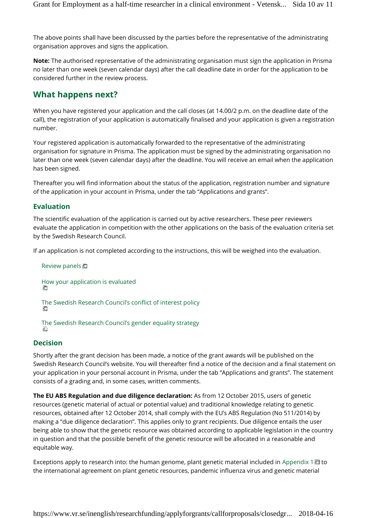The above points shall have been discussed by the parties before the representative of the administrating organisation approves and signs the application.

**Note:** The authorised representative of the administrating organisation must sign the application in Prisma no later than one week (seven calendar days) after the call deadline date in order for the application to be considered further in the review process.

# **What happens next?**

When you have registered your application and the call closes (at 14.00/2 p.m. on the deadline date of the call), the registration of your application is automatically finalised and your application is given a registration number.

Your registered application is automatically forwarded to the representative of the administrating organisation for signature in Prisma. The application must be signed by the administrating organisation no later than one week (seven calendar days) after the deadline. You will receive an email when the application has been signed.

Thereafter you will find information about the status of the application, registration number and signature of the application in your account in Prisma, under the tab "Applications and grants".

## **Evaluation**

The scientific evaluation of the application is carried out by active researchers. These peer reviewers evaluate the application in competition with the other applications on the basis of the evaluation criteria set by the Swedish Research Council.

If an application is not completed according to the instructions, this will be weighed into the evaluation.

```
Review panels
How your application is evaluated
The Swedish Research Council's conflict of interest policy
The Swedish Research Council's gender equality strategy
画
```
## **Decision**

Shortly after the grant decision has been made, a notice of the grant awards will be published on the Swedish Research Council's website. You will thereafter find a notice of the decision and a final statement on your application in your personal account in Prisma, under the tab "Applications and grants". The statement consists of a grading and, in some cases, written comments.

**The EU ABS Regulation and due diligence declaration:** As from 12 October 2015, users of genetic resources (genetic material of actual or potential value) and traditional knowledge relating to genetic resources, obtained after 12 October 2014, shall comply with the EU's ABS Regulation (No 511/2014) by making a "due diligence declaration". This applies only to grant recipients. Due diligence entails the user being able to show that the genetic resource was obtained according to applicable legislation in the country in question and that the possible benefit of the genetic resource will be allocated in a reasonable and equitable way.

Exceptions apply to research into: the human genome, plant genetic material included in Appendix 1 $\blacksquare$  to the international agreement on plant genetic resources, pandemic influenza virus and genetic material